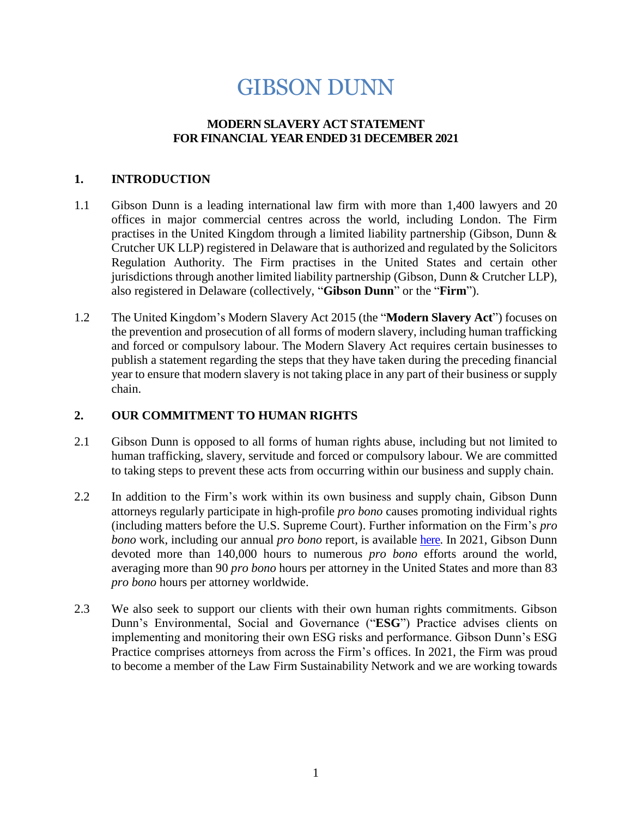# GIBSON DUNN

### **MODERN SLAVERY ACT STATEMENT FOR FINANCIAL YEAR ENDED 31 DECEMBER 2021**

#### **1. INTRODUCTION**

- 1.1 Gibson Dunn is a leading international law firm with more than 1,400 lawyers and 20 offices in major commercial centres across the world, including London. The Firm practises in the United Kingdom through a limited liability partnership (Gibson, Dunn & Crutcher UK LLP) registered in Delaware that is authorized and regulated by the Solicitors Regulation Authority. The Firm practises in the United States and certain other jurisdictions through another limited liability partnership (Gibson, Dunn & Crutcher LLP), also registered in Delaware (collectively, "**Gibson Dunn**" or the "**Firm**").
- 1.2 The United Kingdom's Modern Slavery Act 2015 (the "**Modern Slavery Act**") focuses on the prevention and prosecution of all forms of modern slavery, including human trafficking and forced or compulsory labour. The Modern Slavery Act requires certain businesses to publish a statement regarding the steps that they have taken during the preceding financial year to ensure that modern slavery is not taking place in any part of their business or supply chain.

#### **2. OUR COMMITMENT TO HUMAN RIGHTS**

- 2.1 Gibson Dunn is opposed to all forms of human rights abuse, including but not limited to human trafficking, slavery, servitude and forced or compulsory labour. We are committed to taking steps to prevent these acts from occurring within our business and supply chain.
- 2.2 In addition to the Firm's work within its own business and supply chain, Gibson Dunn attorneys regularly participate in high-profile *pro bono* causes promoting individual rights (including matters before the U.S. Supreme Court). Further information on the Firm's *pro bono* work, including our annual *pro bono* report, is available [here.](https://www.gibsondunn.com/pro-bono/) In 2021, Gibson Dunn devoted more than 140,000 hours to numerous *pro bono* efforts around the world, averaging more than 90 *pro bono* hours per attorney in the United States and more than 83 *pro bono* hours per attorney worldwide.
- 2.3 We also seek to support our clients with their own human rights commitments. Gibson Dunn's Environmental, Social and Governance ("**ESG**") Practice advises clients on implementing and monitoring their own ESG risks and performance. Gibson Dunn's ESG Practice comprises attorneys from across the Firm's offices. In 2021, the Firm was proud to become a member of the Law Firm Sustainability Network and we are working towards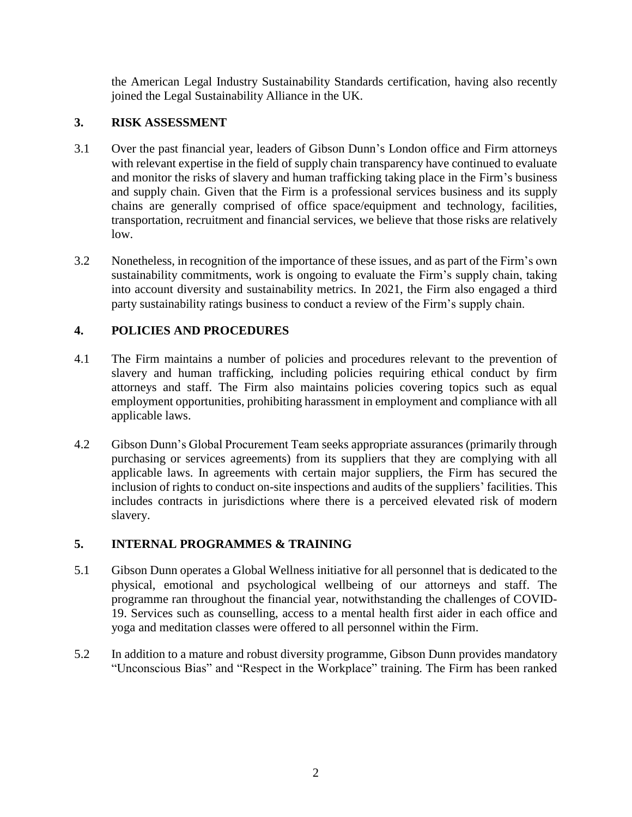the American Legal Industry Sustainability Standards certification, having also recently joined the Legal Sustainability Alliance in the UK.

### **3. RISK ASSESSMENT**

- 3.1 Over the past financial year, leaders of Gibson Dunn's London office and Firm attorneys with relevant expertise in the field of supply chain transparency have continued to evaluate and monitor the risks of slavery and human trafficking taking place in the Firm's business and supply chain. Given that the Firm is a professional services business and its supply chains are generally comprised of office space/equipment and technology, facilities, transportation, recruitment and financial services, we believe that those risks are relatively low.
- 3.2 Nonetheless, in recognition of the importance of these issues, and as part of the Firm's own sustainability commitments, work is ongoing to evaluate the Firm's supply chain, taking into account diversity and sustainability metrics. In 2021, the Firm also engaged a third party sustainability ratings business to conduct a review of the Firm's supply chain.

# **4. POLICIES AND PROCEDURES**

- 4.1 The Firm maintains a number of policies and procedures relevant to the prevention of slavery and human trafficking, including policies requiring ethical conduct by firm attorneys and staff. The Firm also maintains policies covering topics such as equal employment opportunities, prohibiting harassment in employment and compliance with all applicable laws.
- 4.2 Gibson Dunn's Global Procurement Team seeks appropriate assurances (primarily through purchasing or services agreements) from its suppliers that they are complying with all applicable laws. In agreements with certain major suppliers, the Firm has secured the inclusion of rights to conduct on-site inspections and audits of the suppliers' facilities. This includes contracts in jurisdictions where there is a perceived elevated risk of modern slavery.

# **5. INTERNAL PROGRAMMES & TRAINING**

- 5.1 Gibson Dunn operates a Global Wellness initiative for all personnel that is dedicated to the physical, emotional and psychological wellbeing of our attorneys and staff. The programme ran throughout the financial year, notwithstanding the challenges of COVID-19. Services such as counselling, access to a mental health first aider in each office and yoga and meditation classes were offered to all personnel within the Firm.
- 5.2 In addition to a mature and robust diversity programme, Gibson Dunn provides mandatory "Unconscious Bias" and "Respect in the Workplace" training. The Firm has been ranked